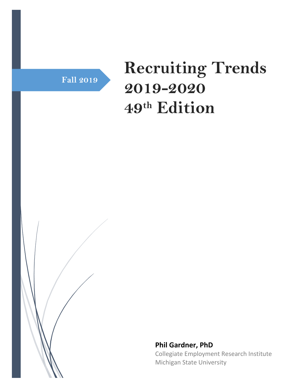

# **Recruiting Trends 2019-2020 49th Edition**



**Phil Gardner, PhD** Collegiate Employment Research Institute Michigan State University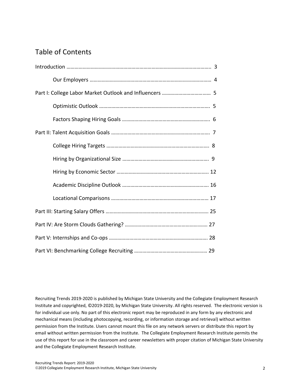## Table of Contents

Recruiting Trends 2019-2020 is published by Michigan State University and the Collegiate Employment Research Institute and copyrighted, ©2019-2020, by Michigan State University. All rights reserved. The electronic version is for individual use only. No part of this electronic report may be reproduced in any form by any electronic and mechanical means (including photocopying, recording, or information storage and retrieval) without written permission from the Institute. Users cannot mount this file on any network servers or distribute this report by email without written permission from the Institute. The Collegiate Employment Research Institute permits the use of this report for use in the classroom and career newsletters with proper citation of Michigan State University and the Collegiate Employment Research Institute.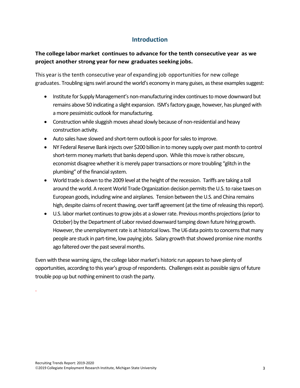## **Introduction**

## **The college labor market continues to advance for the tenth consecutive year as we project another strong yearfor new graduatesseeking jobs.**

This year isthe tenth consecutive year of expanding job opportunities for new college graduates. Troubling signs swirl around the world's economy in many guises, as these examples suggest:

- Institute for Supply Management's non-manufacturing index continues to move downward but remains above 50 indicating a slight expansion. ISM's factory gauge, however, has plunged with a more pessimistic outlook for manufacturing.
- Construction while sluggish moves ahead slowly because of non-residential and heavy construction activity.
- Auto sales have slowed and short-term outlook is poor for sales to improve.
- NY Federal Reserve Bank injects over \$200 billion in to money supply over past month to control short-term money markets that banks depend upon. While this move is rather obscure, economist disagree whether it is merely paper transactions or more troubling "glitch in the plumbing" of the financial system.
- World trade is down to the 2009 level at the height of the recession. Tariffs are taking a toll around the world. A recent World Trade Organization decision permits the U.S. to raise taxes on European goods, including wine and airplanes. Tension between the U.S. and China remains high, despite claims of recent thawing, over tariff agreement (at the time of releasing this report).
- U.S. labor market continues to grow jobs at a slower rate. Previous months projections (prior to October) by the Department of Labor revised downward tamping down future hiring growth. However, the unemployment rate is at historical lows. The U6 data points to concerns that many people are stuck in part-time, low paying jobs. Salary growth that showed promise nine months ago faltered over the past several months.

Even with these warning signs, the college labor market's historic run appears to have plenty of opportunities, according to this year's group of respondents. Challenges exist as possible signs of future trouble pop up but nothing eminent to crash the party.

.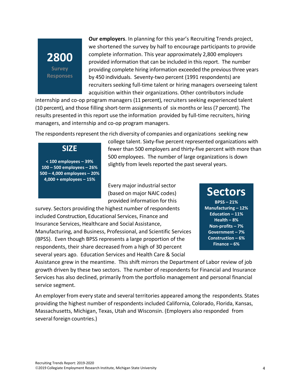## **2800 Survey Responses**

**Our employers**. In planning for this year's Recruiting Trends project, we shortened the survey by half to encourage participants to provide complete information. This year approximately 2,800 employers provided information that can be included in this report. The number providing complete hiring information exceeded the previous three years by 450 individuals. Seventy-two percent (1991 respondents) are recruiters seeking full-time talent or hiring managers overseeing talent acquisition within their organizations. Other contributors include

internship and co-op program managers (11 percent), recruiters seeking experienced talent (10 percent), and those filling short-term assignments of six months or less(7 percent). The results presented in this report use the information provided by full-time recruiters, hiring managers, and internship and co-op program managers.

The respondents represent the rich diversity of companies and organizations seeking new

**< 100 employees – 39% 100 – 500 employees – 26% 500 – 4,000 employees – 20% 4,000 + employees – 15%**

**SIZE**

college talent. Sixty-five percent represented organizations with fewer than 500 employers and thirty-five percent with more than 500 employees. The number of large organizations is down slightly from levels reported the past several years.

Every major industrial sector (based on major NAIC codes) provided information for this

survey. Sectors providing the highest number of respondents included Construction, Educational Services, Finance and Insurance Services, Healthcare and Social Assistance, Manufacturing, and Business, Professional, and Scientific Services (BPSS). Even though BPSS represents a large proportion of the respondents, their share decreased from a high of 30 percent

several years ago. Education Services and Health Care & Social

**Sectors**

**BPSS – 21% Manufacturing – 12% Education – 11% Health – 8% Non-profits – 7% Government – 7% Construction – 6% Finance – 6%**

Assistance grew in the meantime. This shift mirrors the Department of Labor review of job growth driven by these two sectors. The number of respondents for Financial and Insurance Services has also declined, primarily from the portfolio management and personal financial service segment.

An employer from every state and several territories appeared among the respondents. States providing the highest number of respondents included California, Colorado, Florida, Kansas, Massachusetts, Michigan, Texas, Utah and Wisconsin. (Employers also responded from several foreign countries.)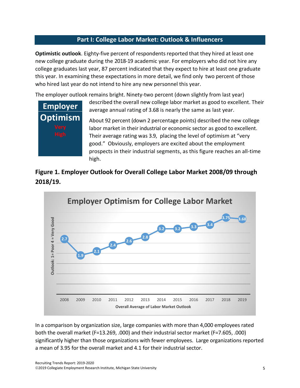## **Part I: College Labor Market: Outlook & Influencers**

**Optimistic outlook**. Eighty-five percent of respondents reported that they hired at least one new college graduate during the 2018-19 academic year. For employers who did not hire any college graduates last year, 87 percent indicated that they expect to hire at least one graduate this year. In examining these expectations in more detail, we find only two percent of those who hired last year do not intend to hire any new personnel this year.

The employer outlook remains bright. Ninety-two percent (down slightly from last year)



described the overall new college labor market as good to excellent. Their average annual rating of 3.68 is nearly the same as last year.

About 92 percent (down 2 percentage points) described the new college labor market in their industrial or economic sector as good to excellent. Their average rating was 3.9, placing the level of optimism at "very good." Obviously, employers are excited about the employment prospects in their industrial segments, as this figure reaches an all-time high.





In a comparison by organization size, large companies with more than 4,000 employees rated both the overall market (F=13.269, .000) and their industrial sector market (F=7.605, .000) significantly higher than those organizations with fewer employees. Large organizations reported a mean of 3.95 for the overall market and 4.1 for their industrial sector.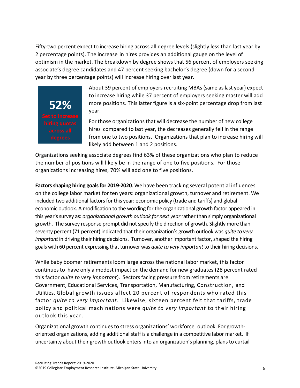Fifty-two percent expect to increase hiring across all degree levels (slightly less than last year by 2 percentage points). The increase in hires provides an additional gauge on the level of optimism in the market. The breakdown by degree shows that 56 percent of employers seeking associate's degree candidates and 47 percent seeking bachelor's degree (down for a second year by three percentage points) will increase hiring over last year.



About 39 percent of employers recruiting MBAs (same as last year) expect to increase hiring while 37 percent of employers seeking master will add more positions. This latter figure is a six-point percentage drop from last year.

For those organizations that will decrease the number of new college hires compared to last year, the decreases generally fell in the range from one to two positions. Organizations that plan to increase hiring will likely add between 1 and 2 positions.

Organizations seeking associate degrees find 63% of these organizations who plan to reduce the number of positions will likely be in the range of one to five positions. For those organizations increasing hires, 70% will add one to five positions.

**Factors shaping hiring goals for 2019-2020**. We have been tracking several potential influences on the college labor market for ten years: organizational growth, turnover and retirement. We included two additional factors for this year: economic policy (trade and tariffs) and global economic outlook. A modification to the wording for the organizational growth factor appeared in this year's survey as: *organizational growth outlook for next year*rather than simply organizational growth. The survey response prompt did not specify the direction of growth. Slightly more than seventy percent (71 percent) indicated that their organization's growth outlook was *quite to very important* in driving their hiring decisions. Turnover, another important factor, shaped the hiring goals with 60 percent expressing that turnover was *quite to very important* to their hiring decisions.

While baby boomer retirements loom large across the national labor market, this factor continues to have only a modest impact on the demand for new graduates (28 percent rated this factor *quite to very important*). Sectorsfacing pressure from retirements are Government, Educational Services, Transportation, Manufacturing, Construction, and Utilities. Global growth issues affect 20 percent of respondents who rated this factor *quite to very important*. Likewise, sixteen percent felt that tariffs, trade policy and political machinations were *quite to very important* to their hiring outlook this year.

Organizational growth continuesto stress organizations' workforce outlook. For growthoriented organizations, adding additional staff is a challenge in a competitive labor market. If uncertainty about their growth outlook enters into an organization's planning, plans to curtail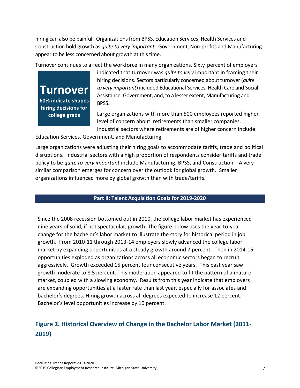hiring can also be painful. Organizations from BPSS, Education Services, Health Services and Construction hold growth as *quite to very important*. Government, Non-profits and Manufacturing appear to be less concerned about growth at this time.

Turnover continues to affect the workforce in many organizations. Sixty percent of employers

**Turnover 60% indicate shapes hiring decisions for college grads**

.

indicated that turnover was *quite to very* important in framing their hiring decisions. Sectors particularly concerned about turnover (*quite to very important*) included Educational Services, Health Care and Social Assistance, Government, and, to a lesser extent, Manufacturing and BPSS.

Large organizations with more than 500 employees reported higher level of concern about retirements than smaller companies. Industrial sectors where retirements are of higher concern include

Education Services, Government, and Manufacturing.

Large organizations were adjusting their hiring goals to accommodate tariffs, trade and political disruptions. Industrial sectors with a high proportion of respondents consider tariffs and trade policy to be *quite to very important* include Manufacturing, BPSS, and Construction. A very similar comparison emerges for concern over the outlook for global growth. Smaller organizations influenced more by global growth than with trade/tariffs.

#### **Part II: Talent Acquisition Goals for 2019-2020**

Since the 2008 recession bottomed out in 2010, the college labor market has experienced nine years of solid, if not spectacular, growth. The figure below uses the year-to-year change for the bachelor's labor market to illustrate the story for historical period in job growth. From 2010-11 through 2013-14 employers slowly advanced the college labor market by expanding opportunities at a steady growth around 7 percent. Then in 2014-15 opportunities exploded as organizations across all economic sectors began to recruit aggressively. Growth exceeded 15 percent four consecutive years. This past year saw growth moderate to 8.5 percent. This moderation appeared to fit the pattern of a mature market, coupled with a slowing economy. Results from this year indicate that employers are expanding opportunities at a faster rate than last year, especially for associates and bachelor's degrees. Hiring growth across all degrees expected to increase 12 percent. Bachelor's level opportunities increase by 10 percent.

## **Figure 2. Historical Overview of Change in the Bachelor Labor Market (2011- 2019)**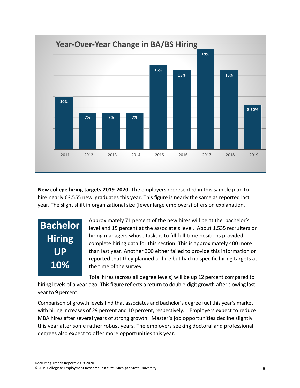

**New college hiring targets 2019-2020.** The employers represented in this sample plan to hire nearly 63,555 new graduates this year. This figure is nearly the same as reported last year. The slight shift in organizational size (fewer large employers) offers on explanation.

## **Bachelor Hiring UP 10%**

Approximately 71 percent of the new hires will be at the bachelor's level and 15 percent at the associate's level. About 1,535 recruiters or hiring managers whose tasks is to fill full-time positions provided complete hiring data for this section. This is approximately 400 more than last year. Another 300 either failed to provide this information or reported that they planned to hire but had no specific hiring targets at the time of the survey.

Total hires (across all degree levels) will be up 12 percent compared to

hiring levels of a year ago. This figure reflects a return to double-digit growth after slowing last year to 9 percent.

Comparison of growth levels find that associates and bachelor's degree fuel this year's market with hiring increases of 29 percent and 10 percent, respectively. Employers expect to reduce MBA hires after several years of strong growth. Master's job opportunities decline slightly this year after some rather robust years. The employers seeking doctoral and professional degrees also expect to offer more opportunities this year.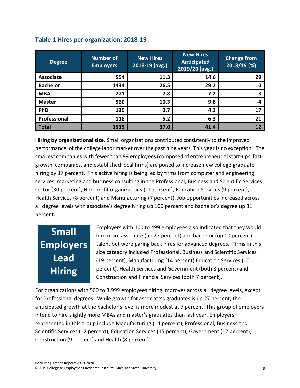| <b>Degree</b>    | <b>Number of</b><br><b>Employers</b> | <b>New Hires</b><br>2018-19 (avg.) | <b>New Hires</b><br>Anticipated<br>2019/20 (avg.) | <b>Change from</b><br>2018/19 (%) |
|------------------|--------------------------------------|------------------------------------|---------------------------------------------------|-----------------------------------|
| <b>Associate</b> | 554                                  | 11.3                               | 14.6                                              | 29                                |
| <b>Bachelor</b>  | 1434                                 | 26.5                               | 29.2                                              | 10                                |
| <b>MBA</b>       | 271                                  | 7.8                                | 7.2                                               | -8                                |
| <b>Master</b>    | 560                                  | 10.3                               | 9.8                                               | -4                                |
| PhD              | 129                                  | 3.7                                | 4.3                                               | 17                                |
| Professional     | 118                                  | 5.2                                | 6.3                                               | 21                                |
| <b>Total</b>     | 1535                                 | 37.0                               | 41.4                                              | 12                                |

## **Table 1 Hires per organization, 2018-19**

**Hiring by organizational size.** Small organizations contributed consistently to the improved performance of the college labor market over the past nine years. This year is no exception. The smallest companies with fewer than 99 employees (composed of entrepreneurial start-ups, fastgrowth companies, and established local firms) are poised to increase new college graduate hiring by 37 percent. This active hiring is being led by firms from computer and engineering services, marketing and business consulting in the Professional, Business and Scientific Services sector (30 percent), Non-profit organizations (11 percent), Education Services (9 percent), Health Services (8 percent) and Manufacturing (7 percent). Job opportunities increased across all degree levels with associate's degree hiring up 100 percent and bachelor's degree up 31 percent.

## **Small Employers Lead Hiring**

Employers with 100 to 499 employees also indicated that they would hire more associate (up 27 percent) and bachelor (up 10 percent) talent but were paring back hires for advanced degrees. Firms in this size category included Professional, Business and Scientific Services (19 percent), Manufacturing (14 percent) Education Services (10 percent), Health Services and Government (both 8 percent) and Construction and Financial Services (both 7 percent).

For organizations with 500 to 3,999 employees hiring improves across all degree levels, except for Professional degrees. While growth for associate's graduates is up 27 percent, the anticipated growth at the bachelor's level is more modest at 7 percent. This group of employers intend to hire slightly more MBAs and master's graduates than last year. Employers represented in this group include Manufacturing (14 percent), Professional, Business and Scientific Services (12 percent), Education Services (15 percent), Government (12 percent), Construction (9 percent) and Health (8 percent).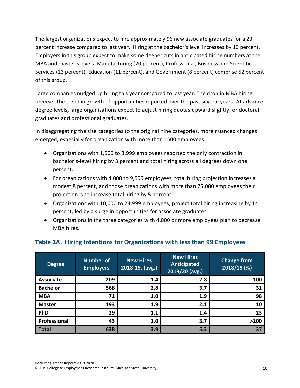The largest organizations expect to hire approximately 96 new associate graduates for a 23 percent increase compared to last year. Hiring at the bachelor's level increases by 10 percent. Employers in this group expect to make some deeper cuts in anticipated hiring numbers at the MBA and master's levels. Manufacturing (20 percent), Professional, Business and Scientific Services (13 percent), Education (11 percent), and Government (8 percent) comprise 52 percent of this group.

Large companies nudged up hiring this year compared to last year. The drop in MBA hiring reverses the trend in growth of opportunities reported over the past several years. At advance degree levels, large organizations expect to adjust hiring quotas upward slightly for doctoral graduates and professional graduates.

In disaggregating the size categories to the original nine categories, more nuanced changes emerged, especially for organization with more than 1500 employees.

- Organizations with 1,500 to 3,999 employees reported the only contraction in bachelor's-level hiring by 3 percent and total hiring across all degrees down one percent.
- For organizations with 4,000 to 9,999 employees, total hiring projection increases a modest 8 percent, and those organizations with more than 25,000 employees their projection is to increase total hiring by 5 percent.
- Organizations with 10,000 to 24,999 employees, project total hiring increasing by 14 percent, led by a surge in opportunities for associate graduates.
- Organizations in the three categories with 4,000 or more employees plan to decrease MBA hires.

| <b>Degree</b>    | <b>Number of</b><br><b>Employers</b> | <b>New Hires</b><br>$2018 - 19.$ (avg.) | <b>New Hires</b><br><b>Anticipated</b><br>2019/20 (avg.) | <b>Change from</b><br>2018/19 (%) |
|------------------|--------------------------------------|-----------------------------------------|----------------------------------------------------------|-----------------------------------|
| <b>Associate</b> | 209                                  | 1.4                                     | 2.8                                                      | 100                               |
| <b>Bachelor</b>  | 568                                  | 2.8                                     | 3.7                                                      | 31                                |
| <b>MBA</b>       | 71                                   | 1.0                                     | 1.9                                                      | 98                                |
| <b>Master</b>    | 193                                  | 1.9                                     | 2.1                                                      | 10                                |
| PhD              | 29                                   | 1.1                                     | 1.4                                                      | 23                                |
| Professional     | 43                                   | 1.0                                     | 3.7                                                      | >100                              |
| <b>Total</b>     | 638                                  | 3.9                                     | 5.3                                                      | 37                                |

## **Table 2A. Hiring Intentions for Organizations with less than 99 Employees**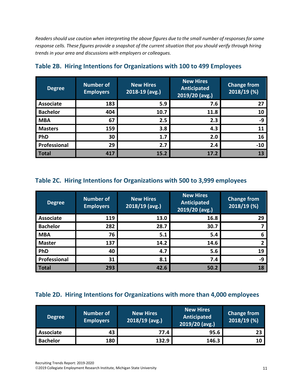*Readersshould use caution when interpreting the above figures due to the small number of responsesforsome response cells. These figures provide a snapshot of the current situation that you should verify through hiring trends in your area and discussions with employers or colleagues.*

| <b>Degree</b>    | <b>Number of</b><br><b>Employers</b> | <b>New Hires</b><br>2018-19 (avg.) | <b>New Hires</b><br><b>Anticipated</b><br>2019/20 (avg.) | <b>Change from</b><br>2018/19 (%) |
|------------------|--------------------------------------|------------------------------------|----------------------------------------------------------|-----------------------------------|
| <b>Associate</b> | 183                                  | 5.9                                | 7.6                                                      | 27                                |
| <b>Bachelor</b>  | 404                                  | 10.7                               | 11.8                                                     | 10                                |
| <b>MBA</b>       | 67                                   | 2.5                                | 2.3                                                      | -9                                |
| <b>Masters</b>   | 159                                  | 3.8                                | 4.3                                                      | 11                                |
| PhD              | 30                                   | 1.7                                | 2.0                                                      | 16                                |
| Professional     | 29                                   | 2.7                                | 2.4                                                      | $-10$                             |
| <b>Total</b>     | 417                                  | 15.2                               | 17.2                                                     | 13                                |

## **Table 2B. Hiring Intentions for Organizations with 100 to 499 Employees**

### **Table 2C. Hiring Intentions for Organizations with 500 to 3,999 employees**

| <b>Degree</b>    | <b>Number of</b><br><b>Employers</b> | <b>New Hires</b><br>$2018/19$ (avg.) | <b>New Hires</b><br><b>Anticipated</b><br>2019/20 (avg.) | <b>Change from</b><br>2018/19 (%) |
|------------------|--------------------------------------|--------------------------------------|----------------------------------------------------------|-----------------------------------|
| <b>Associate</b> | 119                                  | 13.0                                 | 16.8                                                     | 29                                |
| <b>Bachelor</b>  | 282                                  | 28.7                                 | 30.7                                                     |                                   |
| <b>MBA</b>       | 76                                   | 5.1                                  | 5.4                                                      | 6                                 |
| <b>Master</b>    | 137                                  | 14.2                                 | 14.6                                                     |                                   |
| PhD              | 40                                   | 4.7                                  | 5.6                                                      | 19                                |
| Professional     | 31                                   | 8.1                                  | 7.4                                                      | -9                                |
| <b>Total</b>     | 293                                  | 42.6                                 | 50.2                                                     | 18                                |

## **Table 2D. Hiring Intentions for Organizations with more than 4,000 employees**

| <b>Degree</b>    | Number of<br><b>Employers</b> | <b>New Hires</b><br>$2018/19$ (avg.) | <b>New Hires</b><br>Anticipated<br>2019/20 (avg.) | <b>Change from</b><br>2018/19 (%) |
|------------------|-------------------------------|--------------------------------------|---------------------------------------------------|-----------------------------------|
| <b>Associate</b> | 43                            | 77.4                                 | 95.6                                              | 23                                |
| <b>Bachelor</b>  | 180                           | 132.9                                | 146.3                                             | 10                                |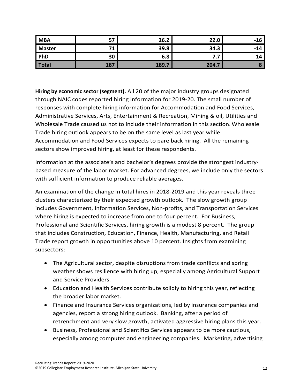| <b>MBA</b>    | 57         | 26.2  | 22.0  | $-16$ |
|---------------|------------|-------|-------|-------|
| <b>Master</b> |            | 39.8  | 34.3  | $-14$ |
| PhD           | 30         | 6.8   | .     | 14    |
| Total         | <b>187</b> | 189.7 | 204.7 |       |

**Hiring by economic sector (segment).** All 20 of the major industry groups designated through NAIC codes reported hiring information for 2019-20. The small number of responses with complete hiring information for Accommodation and Food Services, Administrative Services, Arts, Entertainment & Recreation, Mining & oil, Utilities and Wholesale Trade caused us not to include their information in this section. Wholesale Trade hiring outlook appears to be on the same level as last year while Accommodation and Food Services expects to pare back hiring. All the remaining sectors show improved hiring, at least for these respondents.

Information at the associate's and bachelor's degrees provide the strongest industrybased measure of the labor market. For advanced degrees, we include only the sectors with sufficient information to produce reliable averages.

An examination of the change in total hires in 2018-2019 and this year reveals three clusters characterized by their expected growth outlook. The slow growth group includes Government, Information Services, Non-profits, and Transportation Services where hiring is expected to increase from one to four percent. For Business, Professional and Scientific Services, hiring growth is a modest 8 percent. The group that includes Construction, Education, Finance, Health, Manufacturing, and Retail Trade report growth in opportunities above 10 percent. Insights from examining subsectors:

- The Agricultural sector, despite disruptions from trade conflicts and spring weather shows resilience with hiring up, especially among Agricultural Support and Service Providers.
- Education and Health Services contribute solidly to hiring this year, reflecting the broader labor market.
- Finance and Insurance Services organizations, led by insurance companies and agencies, report a strong hiring outlook. Banking, after a period of retrenchment and very slow growth, activated aggressive hiring plans this year.
- Business, Professional and Scientifics Services appears to be more cautious, especially among computer and engineering companies. Marketing, advertising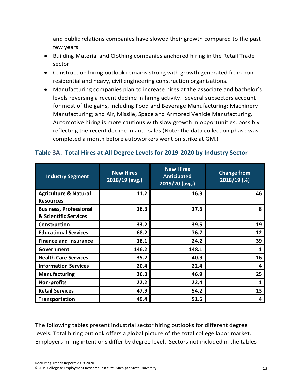and public relations companies have slowed their growth compared to the past few years.

- Building Material and Clothing companies anchored hiring in the Retail Trade sector.
- Construction hiring outlook remains strong with growth generated from nonresidential and heavy, civil engineering construction organizations.
- Manufacturing companies plan to increase hires at the associate and bachelor's levels reversing a recent decline in hiring activity. Several subsectors account for most of the gains, including Food and Beverage Manufacturing; Machinery Manufacturing; and Air, Missile, Space and Armored Vehicle Manufacturing. Automotive hiring is more cautious with slow growth in opportunities, possibly reflecting the recent decline in auto sales (Note: the data collection phase was completed a month before autoworkers went on strike at GM.)

| <b>Industry Segment</b>                                | <b>New Hires</b><br>$2018/19$ (avg.) | <b>New Hires</b><br><b>Anticipated</b><br>2019/20 (avg.) | <b>Change from</b><br>2018/19 (%) |
|--------------------------------------------------------|--------------------------------------|----------------------------------------------------------|-----------------------------------|
| <b>Agriculture &amp; Natural</b><br><b>Resources</b>   | 11.2                                 | 16.3                                                     | 46                                |
| <b>Business, Professional</b><br>& Scientific Services | 16.3                                 | 17.6                                                     | 8                                 |
| <b>Construction</b>                                    | 33.2                                 | 39.5                                                     | 19                                |
| <b>Educational Services</b>                            | 68.2                                 | 76.7                                                     | 12                                |
| <b>Finance and Insurance</b>                           | 18.1                                 | 24.2                                                     | 39                                |
| Government                                             | 146.2                                | 148.1                                                    | 1                                 |
| <b>Health Care Services</b>                            | 35.2                                 | 40.9                                                     | 16                                |
| <b>Information Services</b>                            | 20.4                                 | 22.4                                                     | 4                                 |
| <b>Manufacturing</b>                                   | 36.3                                 | 46.9                                                     | 25                                |
| <b>Non-profits</b>                                     | 22.2                                 | 22.4                                                     | 1                                 |
| <b>Retail Services</b>                                 | 47.9                                 | 54.2                                                     | 13                                |
| <b>Transportation</b>                                  | 49.4                                 | 51.6                                                     | 4                                 |

#### **Table 3A. Total Hires at All Degree Levels for 2019-2020 by Industry Sector**

The following tables present industrial sector hiring outlooks for different degree levels. Total hiring outlook offers a global picture of the total college labor market. Employers hiring intentions differ by degree level. Sectors not included in the tables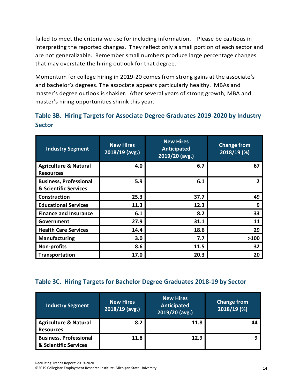failed to meet the criteria we use for including information. Please be cautious in interpreting the reported changes. They reflect only a small portion of each sector and are not generalizable. Remember small numbers produce large percentage changes that may overstate the hiring outlook for that degree.

Momentum for college hiring in 2019-20 comes from strong gains at the associate's and bachelor's degrees. The associate appears particularly healthy. MBAs and master's degree outlook is shakier. After several years of strong growth, MBA and master's hiring opportunities shrink this year.

|               | Table 3B. Hiring Targets for Associate Degree Graduates 2019-2020 by Industry |  |  |
|---------------|-------------------------------------------------------------------------------|--|--|
| <b>Sector</b> |                                                                               |  |  |

| <b>Industry Segment</b>                                | <b>New Hires</b><br>$2018/19$ (avg.) | <b>New Hires</b><br>Anticipated<br>$2019/20$ (avg.) | <b>Change from</b><br>2018/19 (%) |
|--------------------------------------------------------|--------------------------------------|-----------------------------------------------------|-----------------------------------|
| <b>Agriculture &amp; Natural</b><br><b>Resources</b>   | 4.0                                  | 6.7                                                 | 67                                |
| <b>Business, Professional</b><br>& Scientific Services | 5.9                                  | 6.1                                                 |                                   |
| Construction                                           | 25.3                                 | 37.7                                                | 49                                |
| <b>Educational Services</b>                            | 11.3                                 | 12.3                                                | 9                                 |
| <b>Finance and Insurance</b>                           | 6.1                                  | 8.2                                                 | 33                                |
| Government                                             | 27.9                                 | 31.1                                                | 11                                |
| <b>Health Care Services</b>                            | 14.4                                 | 18.6                                                | 29                                |
| <b>Manufacturing</b>                                   | 3.0                                  | 7.7                                                 | >100                              |
| <b>Non-profits</b>                                     | 8.6                                  | 11.5                                                | 32                                |
| <b>Transportation</b>                                  | 17.0                                 | 20.3                                                | 20                                |

## **Table 3C. Hiring Targets for Bachelor Degree Graduates 2018-19 by Sector**

| <b>Industry Segment</b>                                | <b>New Hires</b><br>$2018/19$ (avg.) | <b>New Hires</b><br>Anticipated<br>2019/20 (avg.) | <b>Change from</b><br>$2018/19$ (%) |
|--------------------------------------------------------|--------------------------------------|---------------------------------------------------|-------------------------------------|
| <b>Agriculture &amp; Natural</b><br><b>Resources</b>   | 8.2                                  | 11.8                                              | 44                                  |
| <b>Business, Professional</b><br>& Scientific Services | 11.8                                 | 12.9                                              |                                     |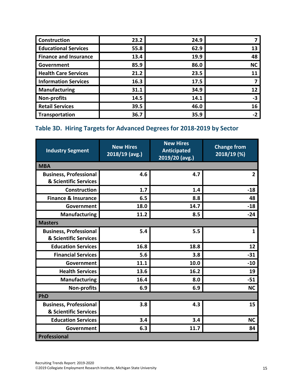| Construction                 | 23.2 | 24.9 |           |
|------------------------------|------|------|-----------|
| <b>Educational Services</b>  | 55.8 | 62.9 | 13        |
| <b>Finance and Insurance</b> | 13.4 | 19.9 | 48        |
| Government                   | 85.9 | 86.0 | <b>NC</b> |
| <b>Health Care Services</b>  | 21.2 | 23.5 | 11        |
| <b>Information Services</b>  | 16.3 | 17.5 |           |
| <b>Manufacturing</b>         | 31.1 | 34.9 | 12        |
| Non-profits                  | 14.5 | 14.1 | -3        |
| <b>Retail Services</b>       | 39.5 | 46.0 | 16        |
| <b>Transportation</b>        | 36.7 | 35.9 | -2        |

## **Table 3D. Hiring Targets for Advanced Degrees for 2018-2019 by Sector**

| <b>Industry Segment</b>                                | <b>New Hires</b><br>2018/19 (avg.) | <b>New Hires</b><br><b>Anticipated</b><br>2019/20 (avg.) | <b>Change from</b><br>2018/19 (%) |
|--------------------------------------------------------|------------------------------------|----------------------------------------------------------|-----------------------------------|
| <b>MBA</b>                                             |                                    |                                                          |                                   |
| <b>Business, Professional</b><br>& Scientific Services | 4.6                                | 4.7                                                      | $\overline{2}$                    |
| <b>Construction</b>                                    | 1.7                                | 1.4                                                      | $-18$                             |
| <b>Finance &amp; Insurance</b>                         | 6.5                                | 8.8                                                      | 48                                |
| Government                                             | 18.0                               | 14.7                                                     | $-18$                             |
| <b>Manufacturing</b>                                   | 11.2                               | 8.5                                                      | $-24$                             |
| <b>Masters</b>                                         |                                    |                                                          |                                   |
| <b>Business, Professional</b><br>& Scientific Services | 5.4                                | 5.5                                                      | $\mathbf{1}$                      |
| <b>Education Services</b>                              | 16.8                               | 18.8                                                     | 12                                |
| <b>Financial Services</b>                              | 5.6                                | 3.8                                                      | $-31$                             |
| Government                                             | 11.1                               | 10.0                                                     | $-10$                             |
| <b>Health Services</b>                                 | 13.6                               | 16.2                                                     | 19                                |
| <b>Manufacturing</b>                                   | 16.4                               | 8.0                                                      | $-51$                             |
| <b>Non-profits</b>                                     | 6.9                                | 6.9                                                      | <b>NC</b>                         |
| <b>PhD</b>                                             |                                    |                                                          |                                   |
| <b>Business, Professional</b><br>& Scientific Services | 3.8                                | 4.3                                                      | 15                                |
| <b>Education Services</b>                              | 3.4                                | 3.4                                                      | <b>NC</b>                         |
| Government                                             | 6.3                                | 11.7                                                     | 84                                |
| <b>Professional</b>                                    |                                    |                                                          |                                   |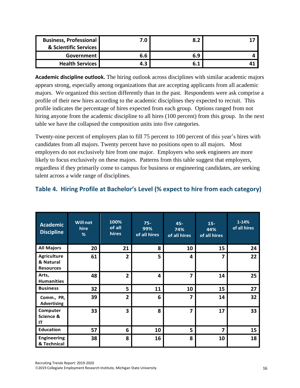| <b>Business, Professional</b><br>& Scientific Services | 7.0 | 8.2 |  |
|--------------------------------------------------------|-----|-----|--|
| Government I                                           | 6.6 | 6.9 |  |
| <b>Health Services</b>                                 | 4.3 | 6.1 |  |

**Academic discipline outlook.** The hiring outlook across disciplines with similar academic majors appears strong, especially among organizations that are accepting applicants from all academic majors. We organized this section differently than in the past. Respondents were ask comprise a profile of their new hires according to the academic disciplines they expected to recruit. This profile indicates the percentage of hires expected from each group. Options ranged from not hiring anyone from the academic discipline to all hires (100 percent) from this group. In the next table we have the collapsed the composition units into five categories.

Twenty-nine percent of employers plan to fill 75 percent to 100 percent of this year's hires with candidates from all majors. Twenty percent have no positions open to all majors. Most employers do not exclusively hire from one major. Employers who seek engineers are more likely to focus exclusively on these majors. Patterns from this table suggest that employers, regardless if they primarily come to campus for business or engineering candidates, are seeking talent across a wide range of disciplines.

## **Table 4. Hiring Profile at Bachelor's Level (% expect to hire from each category)**

| <b>Academic</b><br><b>Discipline</b>                | <b>Will not</b><br>hire<br>% | 100%<br>of all<br>hires | $75 -$<br>99%<br>of all hires | $45 -$<br>74%<br>of all hires | $15 -$<br>44%<br>of all hires | $1 - 14%$<br>of all hires |
|-----------------------------------------------------|------------------------------|-------------------------|-------------------------------|-------------------------------|-------------------------------|---------------------------|
| <b>All Majors</b>                                   | 20                           | 21                      | 8                             | 10                            | 15                            | 24                        |
| <b>Agriculture</b><br>& Natural<br><b>Resources</b> | 61                           | $\overline{2}$          | 5                             | 4                             | 7                             | 22                        |
| Arts,<br><b>Humanities</b>                          | 48                           | $\overline{\mathbf{2}}$ | 4                             | 7                             | 14                            | 25                        |
| <b>Business</b>                                     | 32                           | 5                       | 11                            | 10                            | 15                            | 27                        |
| Comm., PR,<br><b>Advertising</b>                    | 39                           | $\overline{2}$          | 6                             | 7                             | 14                            | 32                        |
| Computer<br>Science &<br>IT                         | 33                           | $\overline{\mathbf{3}}$ | 8                             | 7                             | 17                            | 33                        |
| <b>Education</b>                                    | 57                           | 6                       | 10                            | 5                             | 7                             | 15                        |
| <b>Engineering</b><br>& Technical                   | 38                           | 8                       | 16                            | 8                             | 10                            | 18                        |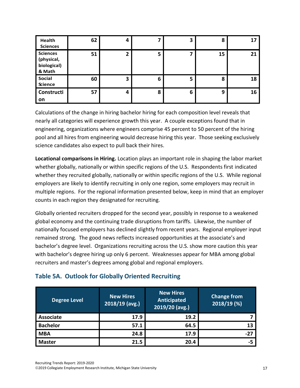| Health<br><b>Sciences</b>                              | 62 | 4 |   | 3 | 8  | 17 |
|--------------------------------------------------------|----|---|---|---|----|----|
| <b>Sciences</b><br>(physical,<br>biological)<br>& Math | 51 | 2 | 5 |   | 15 | 21 |
| Social<br><b>Science</b>                               | 60 | З | 6 | 5 | 8  | 18 |
| Constructi<br>on                                       | 57 | 4 | 8 | 6 | 9  | 16 |

Calculations of the change in hiring bachelor hiring for each composition level reveals that nearly all categories will experience growth this year. A couple exceptions found that in engineering, organizations where engineers comprise 45 percent to 50 percent of the hiring pool and all hires from engineering would decrease hiring this year. Those seeking exclusively science candidates also expect to pull back their hires.

**Locational comparisons in Hiring.** Location plays an important role in shaping the labor market whether globally, nationally or within specific regions of the U.S. Respondents first indicated whether they recruited globally, nationally or within specific regions of the U.S. While regional employers are likely to identify recruiting in only one region, some employers may recruit in multiple regions. For the regional information presented below, keep in mind that an employer counts in each region they designated for recruiting.

Globally oriented recruiters dropped for the second year, possibly in response to a weakened global economy and the continuing trade disruptions from tariffs. Likewise, the number of nationally focused employers has declined slightly from recent years. Regional employer input remained strong. The good news reflects increased opportunities at the associate's and bachelor's degree level. Organizations recruiting across the U.S. show more caution this year with bachelor's degree hiring up only 6 percent. Weaknesses appear for MBA among global recruiters and master's degrees among global and regional employers.

## **Table 5A. Outlook for Globally Oriented Recruiting**

| <b>Degree Level</b> | <b>New Hires</b><br>2018/19 (avg.) | <b>New Hires</b><br>Anticipated<br>2019/20 (avg.) | <b>Change from</b><br>2018/19 (%) |
|---------------------|------------------------------------|---------------------------------------------------|-----------------------------------|
| <b>Associate</b>    | 17.9                               | 19.2                                              |                                   |
| <b>Bachelor</b>     | 57.1                               | 64.5                                              |                                   |
| <b>MBA</b>          | 24.8                               | 17.9                                              | -27                               |
| <b>Master</b>       | 21.5                               | 20.4                                              | -5                                |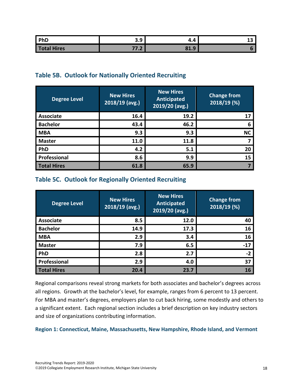| PhD         | $\hat{\phantom{a}}$<br>$\ddot{\phantom{1}}$<br>J.J | $\boldsymbol{\Lambda}$<br>–… | -- |
|-------------|----------------------------------------------------|------------------------------|----|
| Total Hires | --<br>$\blacksquare$<br>,,,,                       | 81.9<br>$\Omega$             |    |

## **Table 5B. Outlook for Nationally Oriented Recruiting**

| <b>Degree Level</b> | <b>New Hires</b><br>$2018/19$ (avg.) | <b>New Hires</b><br>Anticipated<br>2019/20 (avg.) | <b>Change from</b><br>2018/19 (%) |
|---------------------|--------------------------------------|---------------------------------------------------|-----------------------------------|
| <b>Associate</b>    | 16.4                                 | 19.2                                              | 17                                |
| <b>Bachelor</b>     | 43.4                                 | 46.2                                              | 6                                 |
| <b>MBA</b>          | 9.3                                  | 9.3                                               | <b>NC</b>                         |
| <b>Master</b>       | 11.0                                 | 11.8                                              |                                   |
| PhD                 | 4.2                                  | 5.1                                               | 20                                |
| Professional        | 8.6                                  | 9.9                                               | 15                                |
| <b>Total Hires</b>  | 61.8                                 | 65.9                                              |                                   |

## **Table 5C. Outlook for Regionally Oriented Recruiting**

| <b>Degree Level</b> | <b>New Hires</b><br>2018/19 (avg.) | <b>New Hires</b><br><b>Anticipated</b><br>2019/20 (avg.) | <b>Change from</b><br>2018/19 (%) |
|---------------------|------------------------------------|----------------------------------------------------------|-----------------------------------|
| <b>Associate</b>    | 8.5                                | 12.0                                                     | 40                                |
| <b>Bachelor</b>     | 14.9                               | 17.3                                                     | 16                                |
| <b>MBA</b>          | 2.9                                | 3.4                                                      | 16                                |
| <b>Master</b>       | 7.9                                | 6.5                                                      | $-17$                             |
| PhD                 | 2.8                                | 2.7                                                      | $-2$                              |
| Professional        | 2.9                                | 4.0                                                      | 37                                |
| <b>Total Hires</b>  | 20.4                               | 23.7                                                     | 16                                |

Regional comparisons reveal strong markets for both associates and bachelor's degrees across all regions. Growth at the bachelor's level, for example, ranges from 6 percent to 13 percent. For MBA and master's degrees, employers plan to cut back hiring, some modestly and others to a significant extent. Each regional section includes a brief description on key industry sectors and size of organizations contributing information.

#### **Region 1: Connecticut, Maine, Massachusetts, New Hampshire, Rhode Island, and Vermont**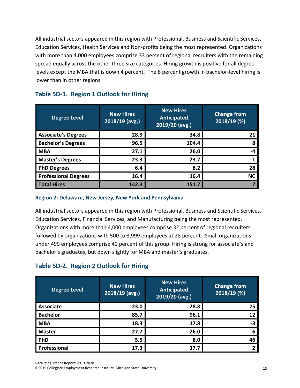All industrial sectors appeared in this region with Professional, Business and Scientific Services, Education Services, Health Services and Non-profits being the most represented. Organizations with more than 4,000 employees comprise 33 percent of regional recruiters with the remaining spread equally across the other three size categories. Hiring growth is positive for all degree levels except the MBA that is down 4 percent. The 8 percent growth in bachelor-level hiring is lower than in other regions.

| <b>Degree Level</b>         | <b>New Hires</b><br>$2018/19$ (avg.) | <b>New Hires</b><br><b>Anticipated</b><br>2019/20 (avg.) | <b>Change from</b><br>2018/19 (%) |
|-----------------------------|--------------------------------------|----------------------------------------------------------|-----------------------------------|
| <b>Associate's Degrees</b>  | 28.9                                 | 34.8                                                     | 21                                |
| <b>Bachelor's Degrees</b>   | 96.5                                 | 104.4                                                    | 8                                 |
| <b>MBA</b>                  | 27.1                                 | 26.0                                                     | -4                                |
| <b>Master's Degrees</b>     | 23.3                                 | 23.7                                                     |                                   |
| <b>PhD Degrees</b>          | 6.4                                  | 8.2                                                      | 28                                |
| <b>Professional Degrees</b> | 16.4                                 | 16.4                                                     | <b>NC</b>                         |
| <b>Total Hires</b>          | 142.3                                | 151.7                                                    |                                   |

## **Table 5D-1. Region 1 Outlook for Hiring**

#### **Region 2: Delaware, New Jersey, New York and Pennsylvania**

All industrial sectors appeared in this region with Professional, Business and Scientific Services, Education Services, Financial Services, and Manufacturing being the most represented. Organizations with more than 4,000 employees comprise 32 percent of regional recruiters followed by organizations with 500 to 3,999 employees at 28 percent. Small organizations under 499 employees comprise 40 percent of this group. Hiring is strong for associate's and bachelor's graduates, but down slightly for MBA and master's graduates.

## **Table 5D-2. Region 2 Outlook for Hiring**

| <b>Degree Level</b> | <b>New Hires</b><br>$2018/19$ (avg.) | <b>New Hires</b><br><b>Anticipated</b><br>2019/20 (avg.) | <b>Change from</b><br>2018/19 (%) |
|---------------------|--------------------------------------|----------------------------------------------------------|-----------------------------------|
| <b>Associate</b>    | 23.0                                 | 28.8                                                     | 25                                |
| <b>Bachelor</b>     | 85.7                                 | 96.1                                                     | 12                                |
| <b>MBA</b>          | 18.3                                 | 17.8                                                     | $-3$                              |
| <b>Master</b>       | 27.7                                 | 26.0                                                     | -6                                |
| PhD                 | 5.5                                  | 8.0                                                      | 46                                |
| Professional        | 17.3                                 | 17.7                                                     | າ                                 |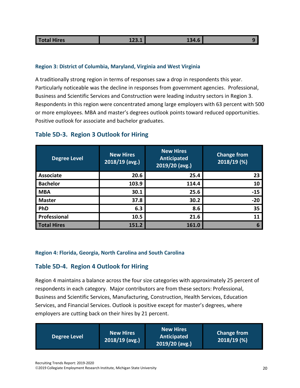| <b>Otal Hires</b><br>at a surface | TTO'T | <b>19</b> A<br>エフテ・リ |  |
|-----------------------------------|-------|----------------------|--|
|                                   |       |                      |  |

#### **Region 3: District of Columbia, Maryland, Virginia and West Virginia**

A traditionally strong region in terms of responses saw a drop in respondents this year. Particularly noticeable was the decline in responses from government agencies. Professional, Business and Scientific Services and Construction were leading industry sectors in Region 3. Respondents in this region were concentrated among large employers with 63 percent with 500 or more employees. MBA and master's degrees outlook points toward reduced opportunities. Positive outlook for associate and bachelor graduates.

| <b>Degree Level</b> | <b>New Hires</b><br>$2018/19$ (avg.) | <b>New Hires</b><br><b>Anticipated</b><br>2019/20 (avg.) | <b>Change from</b><br>$2018/19$ (%) |
|---------------------|--------------------------------------|----------------------------------------------------------|-------------------------------------|
| <b>Associate</b>    | 20.6                                 | 25.4                                                     | 23                                  |
| <b>Bachelor</b>     | 103.9                                | 114.4                                                    | 10                                  |
| <b>MBA</b>          | 30.1                                 | 25.6                                                     | $-15$                               |
| <b>Master</b>       | 37.8                                 | 30.2                                                     | $-20$                               |
| PhD                 | 6.3                                  | 8.6                                                      | 35                                  |
| Professional        | 10.5                                 | 21.6                                                     | 11                                  |
| <b>Total Hires</b>  | 151.2                                | 161.0                                                    | 6                                   |

### **Table 5D-3. Region 3 Outlook for Hiring**

#### **Region 4: Florida, Georgia, North Carolina and South Carolina**

#### **Table 5D-4. Region 4 Outlook for Hiring**

Region 4 maintains a balance across the four size categories with approximately 25 percent of respondents in each category. Major contributors are from these sectors: Professional, Business and Scientific Services, Manufacturing, Construction, Health Services, Education Services, and Financial Services. Outlook is positive except for master's degrees, where employers are cutting back on their hires by 21 percent.

| Degree Level | <b>New Hires</b><br>$2018/19$ (avg.) | <b>New Hires</b><br>Anticipated<br>$2019/20$ (avg.) | <b>Change from</b><br>$2018/19$ (%) |
|--------------|--------------------------------------|-----------------------------------------------------|-------------------------------------|
|--------------|--------------------------------------|-----------------------------------------------------|-------------------------------------|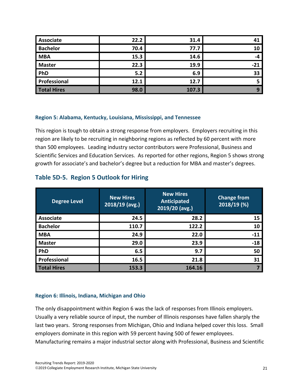| Associate          | 22.2 | 31.4  |     |
|--------------------|------|-------|-----|
| <b>Bachelor</b>    | 70.4 | 77.7  | 10  |
| <b>MBA</b>         | 15.3 | 14.6  | -4  |
| <b>Master</b>      | 22.3 | 19.9  | -21 |
| PhD                | 5.2  | 6.9   | 33  |
| Professional       | 12.1 | 12.7  |     |
| <b>Total Hires</b> | 98.0 | 107.3 | 9   |

#### **Region 5: Alabama, Kentucky, Louisiana, Mississippi, and Tennessee**

This region is tough to obtain a strong response from employers. Employers recruiting in this region are likely to be recruiting in neighboring regions as reflected by 60 percent with more than 500 employees. Leading industry sector contributors were Professional, Business and Scientific Services and Education Services. As reported for other regions, Region 5 shows strong growth for associate's and bachelor's degree but a reduction for MBA and master's degrees.

| <b>Degree Level</b> | <b>New Hires</b><br>2018/19 (avg.) | <b>New Hires</b><br>Anticipated<br>2019/20 (avg.) | <b>Change from</b><br>2018/19 (%) |
|---------------------|------------------------------------|---------------------------------------------------|-----------------------------------|
| <b>Associate</b>    | 24.5                               | 28.2                                              | 15                                |
| <b>Bachelor</b>     | 110.7                              | 122.2                                             | 10                                |
| <b>MBA</b>          | 24.9                               | 22.0                                              | $-11$                             |
| <b>Master</b>       | 29.0                               | 23.9                                              | $-18$                             |
| PhD                 | 6.5                                | 9.7                                               | 50                                |
| Professional        | 16.5                               | 21.8                                              | 31                                |
| <b>Total Hires</b>  | 153.3                              | 164.16                                            |                                   |

#### **Table 5D-5. Region 5 Outlook for Hiring**

#### **Region 6: Illinois, Indiana, Michigan and Ohio**

The only disappointment within Region 6 was the lack of responses from Illinois employers. Usually a very reliable source of input, the number of Illinois responses have fallen sharply the last two years. Strong responses from Michigan, Ohio and Indiana helped cover this loss. Small employers dominate in this region with 59 percent having 500 of fewer employees. Manufacturing remains a major industrial sector along with Professional, Business and Scientific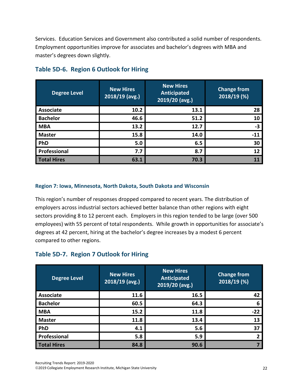Services. Education Services and Government also contributed a solid number of respondents. Employment opportunities improve for associates and bachelor's degrees with MBA and master's degrees down slightly.

| <b>Degree Level</b> | <b>New Hires</b><br>$2018/19$ (avg.) | <b>New Hires</b><br><b>Anticipated</b><br>2019/20 (avg.) | <b>Change from</b><br>2018/19 (%) |
|---------------------|--------------------------------------|----------------------------------------------------------|-----------------------------------|
| <b>Associate</b>    | 10.2                                 | 13.1                                                     | 28                                |
| <b>Bachelor</b>     | 46.6                                 | 51.2                                                     | 10                                |
| <b>MBA</b>          | 13.2                                 | 12.7                                                     | -3                                |
| <b>Master</b>       | 15.8                                 | 14.0                                                     | $-11$                             |
| PhD                 | 5.0                                  | 6.5                                                      | 30                                |
| Professional        | 7.7                                  | 8.7                                                      | 12                                |
| <b>Total Hires</b>  | 63.1                                 | 70.3                                                     |                                   |

## **Table 5D-6. Region 6 Outlook for Hiring**

#### **Region 7: Iowa, Minnesota, North Dakota, South Dakota and Wisconsin**

This region's number of responses dropped compared to recent years. The distribution of employers across industrial sectors achieved better balance than other regions with eight sectors providing 8 to 12 percent each. Employers in this region tended to be large (over 500 employees) with 55 percent of total respondents. While growth in opportunities for associate's degrees at 42 percent, hiring at the bachelor's degree increases by a modest 6 percent compared to other regions.

## **Table 5D-7. Region 7 Outlook for Hiring**

| <b>Degree Level</b> | <b>New Hires</b><br>2018/19 (avg.) | <b>New Hires</b><br>Anticipated<br>2019/20 (avg.) | <b>Change from</b><br>2018/19 (%) |
|---------------------|------------------------------------|---------------------------------------------------|-----------------------------------|
| <b>Associate</b>    | 11.6                               | 16.5                                              | 42                                |
| <b>Bachelor</b>     | 60.5                               | 64.3                                              | 6                                 |
| <b>MBA</b>          | 15.2                               | 11.8                                              | $-22$                             |
| <b>Master</b>       | 11.8                               | 13.4                                              | 13                                |
| PhD                 | 4.1                                | 5.6                                               | 37                                |
| Professional        | 5.8                                | 5.9                                               |                                   |
| <b>Total Hires</b>  | 84.8                               | 90.6                                              |                                   |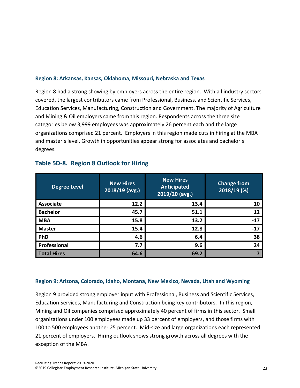#### **Region 8: Arkansas, Kansas, Oklahoma, Missouri, Nebraska and Texas**

Region 8 had a strong showing by employers across the entire region. With all industry sectors covered, the largest contributors came from Professional, Business, and Scientific Services, Education Services, Manufacturing, Construction and Government. The majority of Agriculture and Mining & Oil employers came from this region. Respondents across the three size categories below 3,999 employees was approximately 26 percent each and the large organizations comprised 21 percent. Employers in this region made cuts in hiring at the MBA and master's level. Growth in opportunities appear strong for associates and bachelor's degrees.

| <b>Degree Level</b> | <b>New Hires</b><br>$2018/19$ (avg.) | <b>New Hires</b><br><b>Anticipated</b><br>2019/20 (avg.) | <b>Change from</b><br>2018/19 (%) |
|---------------------|--------------------------------------|----------------------------------------------------------|-----------------------------------|
| <b>Associate</b>    | 12.2                                 | 13.4                                                     | 10                                |
| <b>Bachelor</b>     | 45.7                                 | 51.1                                                     | 12                                |
| <b>MBA</b>          | 15.8                                 | 13.2                                                     | $-17$                             |
| <b>Master</b>       | 15.4                                 | 12.8                                                     | $-17$                             |
| PhD                 | 4.6                                  | 6.4                                                      | 38                                |
| Professional        | 7.7                                  | 9.6                                                      | 24                                |
| <b>Total Hires</b>  | 64.6                                 | 69.2                                                     |                                   |

### **Table 5D-8. Region 8 Outlook for Hiring**

#### **Region 9: Arizona, Colorado, Idaho, Montana, New Mexico, Nevada, Utah and Wyoming**

Region 9 provided strong employer input with Professional, Business and Scientific Services, Education Services, Manufacturing and Construction being key contributors. In this region, Mining and Oil companies comprised approximately 40 percent of firms in this sector. Small organizations under 100 employees made up 33 percent of employers, and those firms with 100 to 500 employees another 25 percent. Mid-size and large organizations each represented 21 percent of employers. Hiring outlook shows strong growth across all degrees with the exception of the MBA.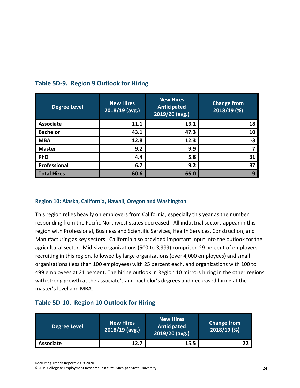| <b>Degree Level</b> | <b>New Hires</b><br>$2018/19$ (avg.) | <b>New Hires</b><br><b>Anticipated</b><br>2019/20 (avg.) | <b>Change from</b><br>2018/19 (%) |
|---------------------|--------------------------------------|----------------------------------------------------------|-----------------------------------|
| <b>Associate</b>    | 11.1                                 | 13.1                                                     | 18                                |
| <b>Bachelor</b>     | 43.1                                 | 47.3                                                     | 10                                |
| <b>MBA</b>          | 12.8                                 | 12.3                                                     | -3                                |
| <b>Master</b>       | 9.2                                  | 9.9                                                      |                                   |
| PhD                 | 4.4                                  | 5.8                                                      | 31                                |
| Professional        | 6.7                                  | 9.2                                                      | 37                                |
| <b>Total Hires</b>  | 60.6                                 | 66.0                                                     |                                   |

## **Table 5D-9. Region 9 Outlook for Hiring**

#### **Region 10: Alaska, California, Hawaii, Oregon and Washington**

This region relies heavily on employers from California, especially this year as the number responding from the Pacific Northwest states decreased. All industrial sectors appear in this region with Professional, Business and Scientific Services, Health Services, Construction, and Manufacturing as key sectors. California also provided important input into the outlook for the agricultural sector. Mid-size organizations (500 to 3,999) comprised 29 percent of employers recruiting in this region, followed by large organizations (over 4,000 employees) and small organizations (less than 100 employees) with 25 percent each, and organizations with 100 to 499 employees at 21 percent. The hiring outlook in Region 10 mirrors hiring in the other regions with strong growth at the associate's and bachelor's degrees and decreased hiring at the master's level and MBA.

## **Table 5D-10. Region 10 Outlook for Hiring**

| <b>Degree Level</b> | <b>New Hires</b><br>$2018/19$ (avg.) | <b>New Hires</b><br>Anticipated<br>2019/20 (avg.) | <b>Change from</b><br>$2018/19$ (%) |
|---------------------|--------------------------------------|---------------------------------------------------|-------------------------------------|
| Associate           | 12.7                                 | 15.5                                              |                                     |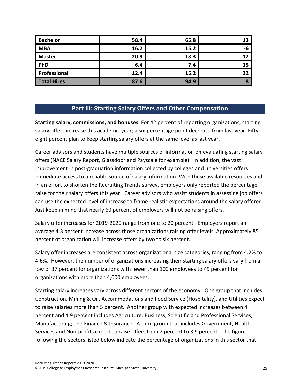| <b>Bachelor</b>    | 58.4 | 65.8 | 13    |
|--------------------|------|------|-------|
| <b>MBA</b>         | 16.2 | 15.2 | -6    |
| <b>Master</b>      | 20.9 | 18.3 | $-12$ |
| PhD                | 6.4  | 7.4  | 15    |
| Professional       | 12.4 | 15.2 | 22    |
| <b>Total Hires</b> | 87.6 | 94.9 |       |

## **Part III: Starting Salary Offers and Other Compensation**

**Starting salary, commissions, and bonuses**. For 42 percent of reporting organizations, starting salary offers increase this academic year; a six-percentage point decrease from last year. Fiftyeight percent plan to keep starting salary offers at the same level as last year.

Career advisors and students have multiple sources of information on evaluating starting salary offers (NACE Salary Report, Glassdoor and Payscale for example). In addition, the vast improvement in post-graduation information collected by colleges and universities offers immediate access to a reliable source of salary information. With these available resources and in an effort to shorten the Recruiting Trends survey, employers only reported the percentage raise for their salary offers this year. Career advisors who assist students in assessing job offers can use the expected level of increase to frame realistic expectations around the salary offered. Just keep in mind that nearly 60 percent of employers will not be raising offers.

Salary offer increases for 2019-2020 range from one to 20 percent. Employers report an average 4.3 percent increase across those organizations raising offer levels. Approximately 85 percent of organization will increase offers by two to six percent.

Salary offer increases are consistent across organizational size categories, ranging from 4.2% to 4.6%. However, the number of organizations increasing their starting salary offers vary from a low of 37 percent for organizations with fewer than 100 employees to 49 percent for organizations with more than 4,000 employees.

Starting salary increases vary across different sectors of the economy. One group that includes Construction, Mining & Oil, Accommodations and Food Service (Hospitality), and Utilities expect to raise salaries more than 5 percent. Another group with expected increases between 4 percent and 4.9 percent includes Agriculture; Business, Scientific and Professional Services; Manufacturing; and Finance & Insurance. A third group that includes Government, Health Services and Non-profits expect to raise offers from 2 percent to 3.9 percent. The figure following the sectors listed below indicate the percentage of organizations in this sector that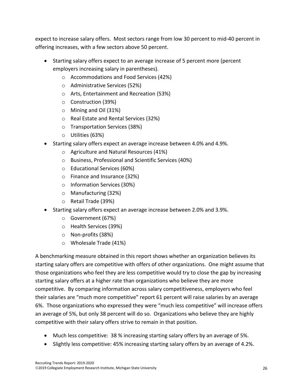expect to increase salary offers. Most sectors range from low 30 percent to mid-40 percent in offering increases, with a few sectors above 50 percent.

- Starting salary offers expect to an average increase of 5 percent more (percent employers increasing salary in parentheses).
	- o Accommodations and Food Services (42%)
	- o Administrative Services (52%)
	- o Arts, Entertainment and Recreation (53%)
	- o Construction (39%)
	- o Mining and Oil (31%)
	- o Real Estate and Rental Services (32%)
	- o Transportation Services (38%)
	- o Utilities (63%)
- Starting salary offers expect an average increase between 4.0% and 4.9%.
	- o Agriculture and Natural Resources (41%)
	- o Business, Professional and Scientific Services (40%)
	- o Educational Services (60%)
	- o Finance and Insurance (32%)
	- o Information Services (30%)
	- o Manufacturing (32%)
	- o Retail Trade (39%)
- Starting salary offers expect an average increase between 2.0% and 3.9%.
	- o Government (67%)
	- o Health Services (39%)
	- o Non-profits (38%)
	- o Wholesale Trade (41%)

A benchmarking measure obtained in this report shows whether an organization believes its starting salary offers are competitive with offers of other organizations. One might assume that those organizations who feel they are less competitive would try to close the gap by increasing starting salary offers at a higher rate than organizations who believe they are more competitive. By comparing information across salary competitiveness, employers who feel their salaries are "much more competitive" report 61 percent will raise salaries by an average 6%. Those organizations who expressed they were "much less competitive" will increase offers an average of 5%, but only 38 percent will do so. Organizations who believe they are highly competitive with their salary offers strive to remain in that position.

- Much less competitive: 38 % increasing starting salary offers by an average of 5%.
- Slightly less competitive: 45% increasing starting salary offers by an average of 4.2%.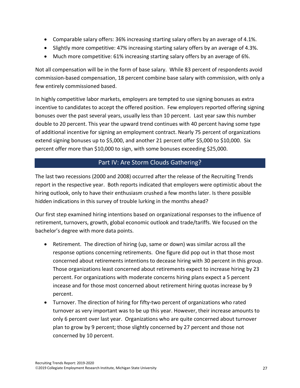- Comparable salary offers: 36% increasing starting salary offers by an average of 4.1%.
- Slightly more competitive: 47% increasing starting salary offers by an average of 4.3%.
- Much more competitive: 61% increasing starting salary offers by an average of 6%.

Not all compensation will be in the form of base salary. While 83 percent of respondents avoid commission-based compensation, 18 percent combine base salary with commission, with only a few entirely commissioned based.

In highly competitive labor markets, employers are tempted to use signing bonuses as extra incentive to candidates to accept the offered position. Few employers reported offering signing bonuses over the past several years, usually less than 10 percent. Last year saw this number double to 20 percent. This year the upward trend continues with 40 percent having some type of additional incentive for signing an employment contract. Nearly 75 percent of organizations extend signing bonuses up to \$5,000, and another 21 percent offer \$5,000 to \$10,000. Six percent offer more than \$10,000 to sign, with some bonuses exceeding \$25,000.

## Part IV: Are Storm Clouds Gathering?

The last two recessions (2000 and 2008) occurred after the release of the Recruiting Trends report in the respective year. Both reports indicated that employers were optimistic about the hiring outlook, only to have their enthusiasm crushed a few months later. Is there possible hidden indications in this survey of trouble lurking in the months ahead?

Our first step examined hiring intentions based on organizational responses to the influence of retirement, turnovers, growth, global economic outlook and trade/tariffs. We focused on the bachelor's degree with more data points.

- Retirement. The direction of hiring (up, same or down) was similar across all the response options concerning retirements. One figure did pop out in that those most concerned about retirements intentions to decease hiring with 30 percent in this group. Those organizations least concerned about retirements expect to increase hiring by 23 percent. For organizations with moderate concerns hiring plans expect a 5 percent incease and for those most concerned about retirement hiring quotas increase by 9 percent.
- Turnover. The direction of hiring for fifty-two percent of organizations who rated turnover as very important was to be up this year. However, their increase amounts to only 6 percent over last year. Organizations who are quite concerned about turnover plan to grow by 9 percent; those slightly concerned by 27 percent and those not concerned by 10 percent.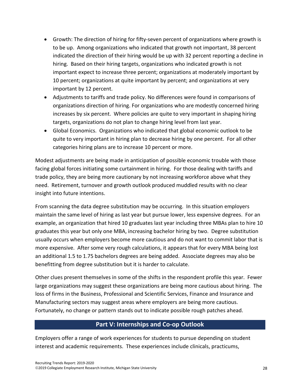- Growth: The direction of hiring for fifty-seven percent of organizations where growth is to be up. Among organizations who indicated that growth not important, 38 percent indicated the direction of their hiring would be up with 32 percent reporting a decline in hiring. Based on their hiring targets, organizations who indicated growth is not important expect to increase three percent; organizations at moderately important by 10 percent; organizations at quite important by percent; and organizations at very important by 12 percent.
- Adjustments to tariffs and trade policy. No differences were found in comparisons of organizations direction of hiring. For organizations who are modestly concerned hiring increases by six percent. Where policies are quite to very important in shaping hiring targets, organizations do not plan to change hiring level from last year.
- Global Economics. Organizations who indicated that global economic outlook to be quite to very important in hiring plan to decrease hiring by one percent. For all other categories hiring plans are to increase 10 percent or more.

Modest adjustments are being made in anticipation of possible economic trouble with those facing global forces initiating some curtainment in hiring. For those dealing with tariffs and trade policy, they are being more cautionary by not increasing workforce above what they need. Retirement, turnover and growth outlook produced muddled results with no clear insight into future intentions.

From scanning the data degree substitution may be occurring. In this situation employers maintain the same level of hiring as last year but pursue lower, less expensive degrees. For an example, an organization that hired 10 graduates last year including three MBAs plan to hire 10 graduates this year but only one MBA, increasing bachelor hiring by two. Degree substitution usually occurs when employers become more cautious and do not want to commit labor that is more expensive. After some very rough calculations, it appears that for every MBA being lost an additional 1.5 to 1.75 bachelors degrees are being added. Associate degrees may also be benefitting from degree substitution but it is harder to calculate.

Other clues present themselves in some of the shifts in the respondent profile this year. Fewer large organizations may suggest these organizations are being more cautious about hiring. The loss of firms in the Business, Professional and Scientific Services, Finance and Insurance and Manufacturing sectors may suggest areas where employers are being more cautious. Fortunately, no change or pattern stands out to indicate possible rough patches ahead.

## **Part V: Internships and Co-op Outlook**

Employers offer a range of work experiences for students to pursue depending on student interest and academic requirements. These experiences include clinicals, practicums,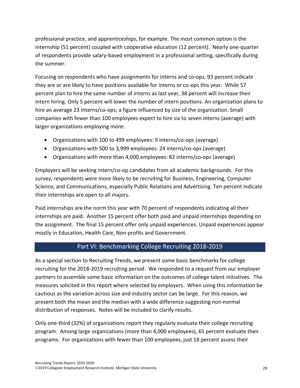professional practice, and apprenticeships, for example. The most common option is the internship (51 percent) coupled with cooperative education (12 percent). Nearly one-quarter of respondents provide salary-based employment in a professional setting, specifically during the summer.

Focusing on respondents who have assignments for interns and co-ops, 93 percent indicate they are or are likely to have positions available for interns or co-ops this year. While 57 percent plan to hire the same number of interns as last year, 38 percent will increase their intern hiring. Only 5 percent will lower the number of intern positions. An organization plans to hire an average 23 interns/co-ops; a figure influenced by size of the organization. Small companies with fewer than 100 employees expect to hire six to seven interns (average) with larger organizations employing more:

- Organizations with 100 to 499 employees: 9 interns/co-ops (average)
- Organizations with 500 to 3,999 employees: 24 interns/co-ops (average)
- Organizations with more than 4,000 employees: 82 interns/co-ops (average)

Employers will be seeking intern/co-op candidates from all academic backgrounds. For this survey, respondents were more likely to be recruiting for Business, Engineering, Computer Science, and Communications, especially Public Relations and Advertising. Ten percent indicate their internships are open to all majors.

Paid internships are the norm this year with 70 percent of respondents indicating all their internships are paid. Another 15 percent offer both paid and unpaid internships depending on the assignment. The final 15 percent offer only unpaid experiences. Unpaid experiences appear mostly in Education, Health Care, Non-profits and Government.

## Part VI: Benchmarking College Recruiting 2018-2019

As a special section to Recruiting Trends, we present some basic benchmarks for college recruiting for the 2018-2019 recruiting period. We responded to a request from our employer partners to assemble some basic information on the outcomes of college talent initiatives. The measures solicited in this report where selected by employers. When using this information be cautious as the variation across size and industry sector can be large. For this reason, we present both the mean and the median with a wide difference suggesting non-normal distribution of responses. Notes will be included to clarify results.

Only one-third (32%) of organizations report they regularly evaluate their college recruiting program. Among large organizations (more than 4,000 employees), 65 percent evaluate their programs. For organizations with fewer than 100 employees, just 18 percent assess their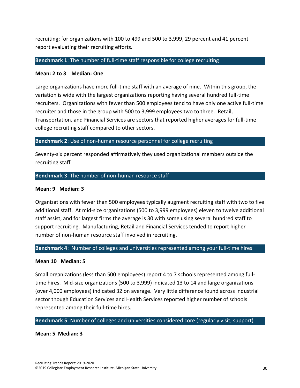recruiting; for organizations with 100 to 499 and 500 to 3,999, 29 percent and 41 percent report evaluating their recruiting efforts.

#### **Benchmark 1**: The number of full-time staff responsible for college recruiting

#### **Mean: 2 to 3 Median: One**

Large organizations have more full-time staff with an average of nine. Within this group, the variation is wide with the largest organizations reporting having several hundred full-time recruiters. Organizations with fewer than 500 employees tend to have only one active full-time recruiter and those in the group with 500 to 3,999 employees two to three. Retail, Transportation, and Financial Services are sectors that reported higher averages for full-time college recruiting staff compared to other sectors.

#### **Benchmark 2**: Use of non-human resource personnel for college recruiting

Seventy-six percent responded affirmatively they used organizational members outside the recruiting staff

#### **Benchmark 3**: The number of non-human resource staff

#### **Mean: 9 Median: 3**

Organizations with fewer than 500 employees typically augment recruiting staff with two to five additional staff. At mid-size organizations (500 to 3,999 employees) eleven to twelve additional staff assist, and for largest firms the average is 30 with some using several hundred staff to support recruiting. Manufacturing, Retail and Financial Services tended to report higher number of non-human resource staff involved in recruiting.

#### **Benchmark 4**: Number of colleges and universities represented among your full-time hires

#### **Mean 10 Median: 5**

Small organizations (less than 500 employees) report 4 to 7 schools represented among fulltime hires. Mid-size organizations (500 to 3,999) indicated 13 to 14 and large organizations (over 4,000 employees) indicated 32 on average. Very little difference found across industrial sector though Education Services and Health Services reported higher number of schools represented among their full-time hires.

#### **Benchmark 5**: Number of colleges and universities considered core (regularly visit, support)

**Mean: 5 Median: 3**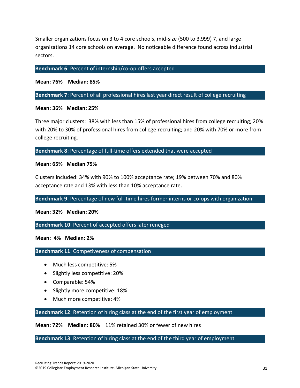Smaller organizations focus on 3 to 4 core schools, mid-size (500 to 3,999) 7, and large organizations 14 core schools on average. No noticeable difference found across industrial sectors.

#### **Benchmark 6**: Percent of internship/co-op offers accepted

**Mean: 76% Median: 85%**

**Benchmark 7**: Percent of all professional hires last year direct result of college recruiting

#### **Mean: 36% Median: 25%**

Three major clusters: 38% with less than 15% of professional hires from college recruiting; 20% with 20% to 30% of professional hires from college recruiting; and 20% with 70% or more from college recruiting.

**Benchmark 8**: Percentage of full-time offers extended that were accepted

#### **Mean: 65% Median 75%**

Clusters included: 34% with 90% to 100% acceptance rate; 19% between 70% and 80% acceptance rate and 13% with less than 10% acceptance rate.

#### **Benchmark 9**: Percentage of new full-time hires former interns or co-ops with organization

**Mean: 32% Median: 20%**

**Benchmark 10**: Percent of accepted offers later reneged

**Mean: 4% Median: 2%**

**Benchmark 11**: Competiveness of compensation

- Much less competitive: 5%
- Slightly less competitive: 20%
- Comparable: 54%
- Slightly more competitive: 18%
- Much more competitive: 4%

**Benchmark 12**: Retention of hiring class at the end of the first year of employment

**Mean: 72% Median: 80%** 11% retained 30% or fewer of new hires

**Benchmark 13**: Retention of hiring class at the end of the third year of employment